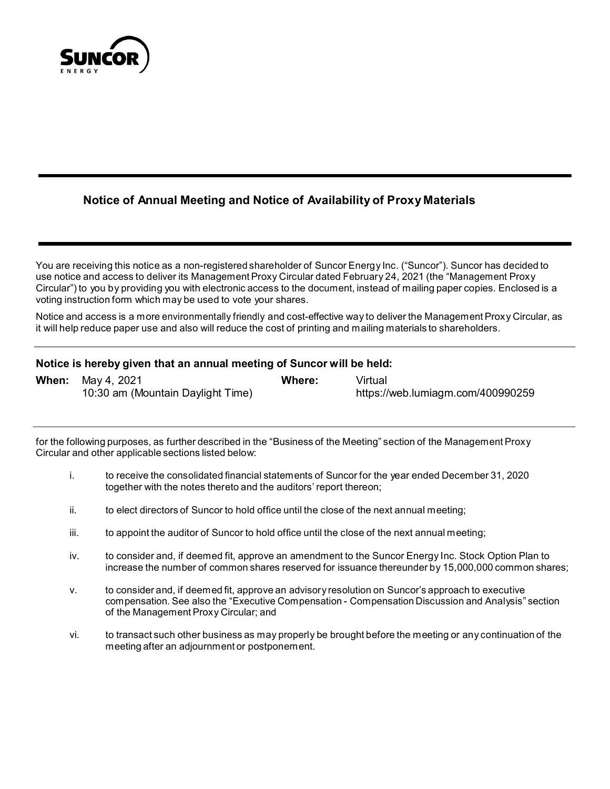

# **Notice of Annual Meeting and Notice of Availability of Proxy Materials**

You are receiving this notice as a non-registered shareholder of Suncor Energy Inc. ("Suncor"). Suncor has decided to use notice and access to deliver its Management Proxy Circular dated February 24, 2021 (the "Management Proxy Circular") to you by providing you with electronic access to the document, instead of mailing paper copies. Enclosed is a voting instruction form which may be used to vote your shares.

Notice and access is a more environmentally friendly and cost-effective way to deliver the Management Proxy Circular, as it will help reduce paper use and also will reduce the cost of printing and mailing materials to shareholders.

## **Notice is hereby given that an annual meeting of Suncor will be held:**

| <b>When:</b> May 4, 2021          | Where: | Virtual                           |
|-----------------------------------|--------|-----------------------------------|
| 10:30 am (Mountain Daylight Time) |        | https://web.lumiagm.com/400990259 |

for the following purposes, as further described in the "Business of the Meeting" section of the Management Proxy Circular and other applicable sections listed below:

- i. to receive the consolidated financial statements of Suncor for the year ended December 31, 2020 together with the notes thereto and the auditors' report thereon;
- ii. to elect directors of Suncor to hold office until the close of the next annual meeting;
- iii. to appoint the auditor of Suncor to hold office until the close of the next annual meeting;
- iv. to consider and, if deemed fit, approve an amendment to the Suncor Energy Inc. Stock Option Plan to increase the number of common shares reserved for issuance thereunder by 15,000,000 common shares;
- v. to consider and, if deemed fit, approve an advisory resolution on Suncor's approach to executive compensation. See also the "Executive Compensation - Compensation Discussion and Analysis" section of the Management Proxy Circular; and
- vi. to transact such other business as may properly be brought before the meeting or any continuation of the meeting after an adjournment or postponement.